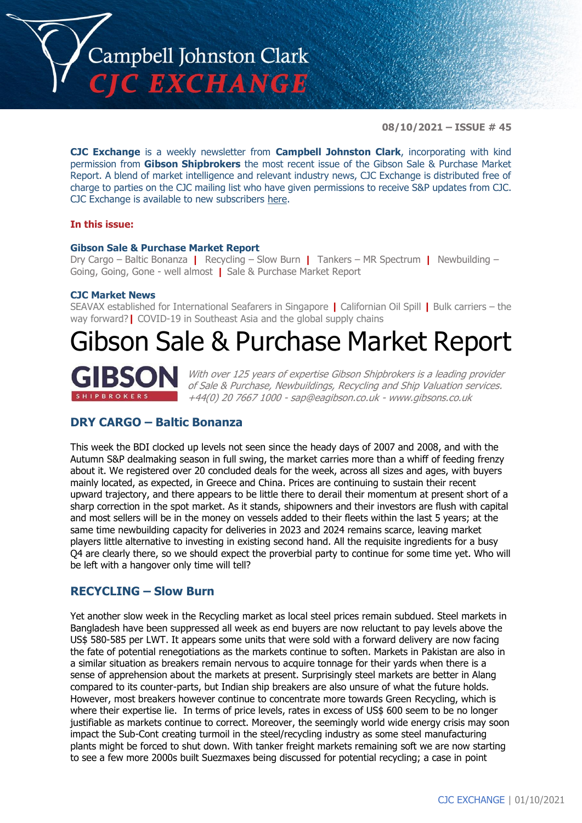

**08/10/2021 – ISSUE # 45**

**CJC Exchange** is a weekly newsletter from **Campbell Johnston Clark**, incorporating with kind permission from **Gibson Shipbrokers** the most recent issue of the Gibson Sale & Purchase Market Report. A blend of market intelligence and relevant industry news, CJC Exchange is distributed free of charge to parties on the CJC mailing list who have given permissions to receive S&P updates from CJC. CJC Exchange is available to new subscribers [here.](mailto:jamesc@cjclaw.com?subject=CJC%20Exchange%20sign-up)

### **In this issue:**

### **Gibson Sale & Purchase Market Report**

Dry Cargo – Baltic Bonanza **|** Recycling – Slow Burn **|** Tankers – MR Spectrum **|** Newbuilding – Going, Going, Gone - well almost **|** Sale & Purchase Market Report

### **CJC Market News**

SEAVAX established for International Seafarers in Singapore **|** Californian Oil Spill **|** Bulk carriers – the way forward?**|** COVID-19 in Southeast Asia and the global supply chains

# Gibson Sale & Purchase Market Report



With over 125 years of expertise Gibson Shipbrokers is a leading provider of Sale & Purchase, Newbuildings, Recycling and Ship Valuation services. +44(0) 20 7667 1000 - [sap@eagibson.co.uk](mailto:sap@eagibson.co.uk) - [www.gibsons.co.uk](https://protect-eu.mimecast.com/s/VO6nCGZzRS60KqcK1jQh/)

# **DRY CARGO – Baltic Bonanza**

This week the BDI clocked up levels not seen since the heady days of 2007 and 2008, and with the Autumn S&P dealmaking season in full swing, the market carries more than a whiff of feeding frenzy about it. We registered over 20 concluded deals for the week, across all sizes and ages, with buyers mainly located, as expected, in Greece and China. Prices are continuing to sustain their recent upward trajectory, and there appears to be little there to derail their momentum at present short of a sharp correction in the spot market. As it stands, shipowners and their investors are flush with capital and most sellers will be in the money on vessels added to their fleets within the last 5 years; at the same time newbuilding capacity for deliveries in 2023 and 2024 remains scarce, leaving market players little alternative to investing in existing second hand. All the requisite ingredients for a busy Q4 are clearly there, so we should expect the proverbial party to continue for some time yet. Who will be left with a hangover only time will tell?

### **RECYCLING – Slow Burn**

Yet another slow week in the Recycling market as local steel prices remain subdued. Steel markets in Bangladesh have been suppressed all week as end buyers are now reluctant to pay levels above the US\$ 580-585 per LWT. It appears some units that were sold with a forward delivery are now facing the fate of potential renegotiations as the markets continue to soften. Markets in Pakistan are also in a similar situation as breakers remain nervous to acquire tonnage for their yards when there is a sense of apprehension about the markets at present. Surprisingly steel markets are better in Alang compared to its counter-parts, but Indian ship breakers are also unsure of what the future holds. However, most breakers however continue to concentrate more towards Green Recycling, which is where their expertise lie. In terms of price levels, rates in excess of US\$ 600 seem to be no longer justifiable as markets continue to correct. Moreover, the seemingly world wide energy crisis may soon impact the Sub-Cont creating turmoil in the steel/recycling industry as some steel manufacturing plants might be forced to shut down. With tanker freight markets remaining soft we are now starting to see a few more 2000s built Suezmaxes being discussed for potential recycling; a case in point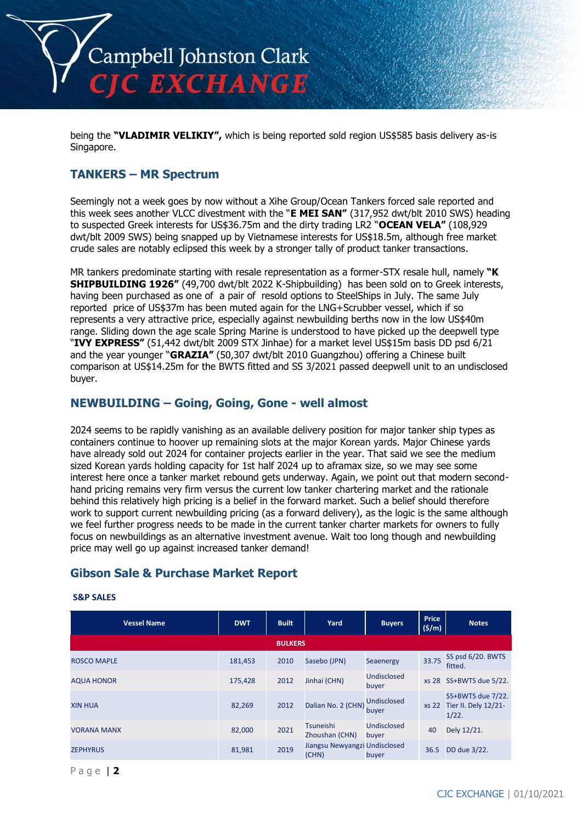

being the **"VLADIMIR VELIKIY",** which is being reported sold region US\$585 basis delivery as-is Singapore.

### **TANKERS – MR Spectrum**

Seemingly not a week goes by now without a Xihe Group/Ocean Tankers forced sale reported and this week sees another VLCC divestment with the "**E MEI SAN"** (317,952 dwt/blt 2010 SWS) heading to suspected Greek interests for US\$36.75m and the dirty trading LR2 "**OCEAN VELA"** (108,929 dwt/blt 2009 SWS) being snapped up by Vietnamese interests for US\$18.5m, although free market crude sales are notably eclipsed this week by a stronger tally of product tanker transactions.

MR tankers predominate starting with resale representation as a former-STX resale hull, namely **"K SHIPBUILDING 1926"** (49,700 dwt/blt 2022 K-Shipbuilding) has been sold on to Greek interests, having been purchased as one of a pair of resold options to SteelShips in July. The same July reported price of US\$37m has been muted again for the LNG+Scrubber vessel, which if so represents a very attractive price, especially against newbuilding berths now in the low US\$40m range. Sliding down the age scale Spring Marine is understood to have picked up the deepwell type "**IVY EXPRESS"** (51,442 dwt/blt 2009 STX Jinhae) for a market level US\$15m basis DD psd 6/21 and the year younger "**GRAZIA"** (50,307 dwt/blt 2010 Guangzhou) offering a Chinese built comparison at US\$14.25m for the BWTS fitted and SS 3/2021 passed deepwell unit to an undisclosed buyer.

### **NEWBUILDING – Going, Going, Gone - well almost**

2024 seems to be rapidly vanishing as an available delivery position for major tanker ship types as containers continue to hoover up remaining slots at the major Korean yards. Major Chinese yards have already sold out 2024 for container projects earlier in the year. That said we see the medium sized Korean yards holding capacity for 1st half 2024 up to aframax size, so we may see some interest here once a tanker market rebound gets underway. Again, we point out that modern secondhand pricing remains very firm versus the current low tanker chartering market and the rationale behind this relatively high pricing is a belief in the forward market. Such a belief should therefore work to support current newbuilding pricing (as a forward delivery), as the logic is the same although we feel further progress needs to be made in the current tanker charter markets for owners to fully focus on newbuildings as an alternative investment avenue. Wait too long though and newbuilding price may well go up against increased tanker demand!

# **Gibson Sale & Purchase Market Report**

| <b>Vessel Name</b> | <b>DWT</b> | <b>Built</b>   | Yard                                   | <b>Buyers</b>               | <b>Price</b><br>(5/m) | <b>Notes</b>                                             |
|--------------------|------------|----------------|----------------------------------------|-----------------------------|-----------------------|----------------------------------------------------------|
|                    |            | <b>BULKERS</b> |                                        |                             |                       |                                                          |
| <b>ROSCO MAPLE</b> | 181,453    | 2010           | Sasebo (JPN)                           | Seaenergy                   | 33.75                 | SS psd 6/20. BWTS<br>fitted.                             |
| <b>AQUA HONOR</b>  | 175.428    | 2012           | Jinhai (CHN)                           | Undisclosed<br>buyer        |                       | xs 28 SS+BWTS due 5/22.                                  |
| <b>XIN HUA</b>     | 82,269     | 2012           | Dalian No. 2 (CHN)                     | <b>Undisclosed</b><br>buyer |                       | SS+BWTS due 7/22.<br>xs 22 Tier II. Dely 12/21-<br>1/22. |
| <b>VORANA MANX</b> | 82,000     | 2021           | <b>Tsuneishi</b><br>Zhoushan (CHN)     | <b>Undisclosed</b><br>buyer | 40                    | Dely 12/21.                                              |
| <b>ZEPHYRUS</b>    | 81,981     | 2019           | Jiangsu Newyangzi Undisclosed<br>(CHN) | buyer                       | 36.5                  | DD due 3/22.                                             |

#### **S&P SALES**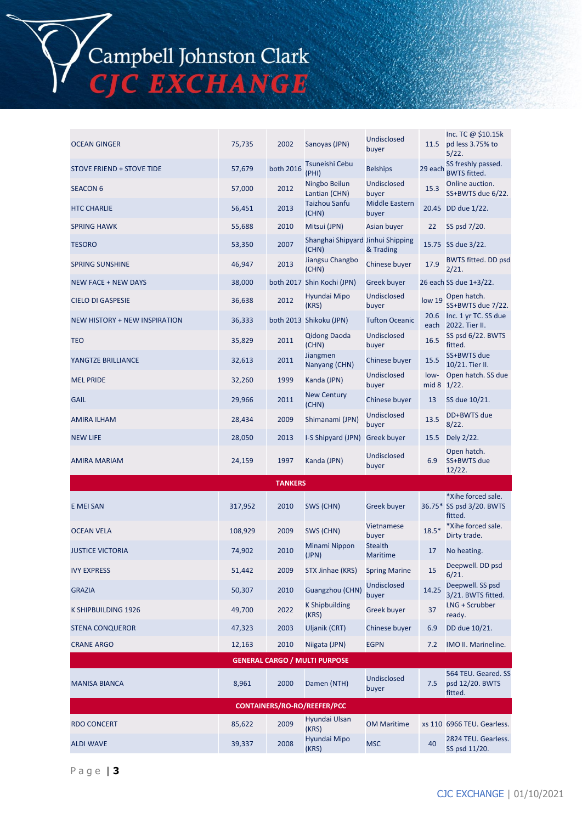# Campbell Johnston Clark<br>CJC EXCHANGE

| <b>OCEAN GINGER</b>                  | 75,735  | 2002           | Sanoyas (JPN)                              | <b>Undisclosed</b><br>buyer       | 11.5                | Inc. TC @ \$10.15k<br>pd less 3.75% to<br>5/22.   |
|--------------------------------------|---------|----------------|--------------------------------------------|-----------------------------------|---------------------|---------------------------------------------------|
| <b>STOVE FRIEND + STOVE TIDE</b>     | 57,679  | both 2016      | Tsuneishi Cebu<br>(PHI)                    | <b>Belships</b>                   | 29 each             | SS freshly passed.<br><b>BWTS fitted.</b>         |
| <b>SEACON 6</b>                      | 57,000  | 2012           | Ningbo Beilun<br>Lantian (CHN)             | Undisclosed<br>buyer              | 15.3                | Online auction.<br>SS+BWTS due 6/22.              |
| <b>HTC CHARLIE</b>                   | 56,451  | 2013           | <b>Taizhou Sanfu</b><br>(CHN)              | <b>Middle Eastern</b><br>buyer    |                     | 20.45 DD due 1/22.                                |
| <b>SPRING HAWK</b>                   | 55,688  | 2010           | Mitsui (JPN)                               | Asian buyer                       | 22                  | SS psd 7/20.                                      |
| <b>TESORO</b>                        | 53,350  | 2007           | Shanghai Shipyard Jinhui Shipping<br>(CHN) | & Trading                         |                     | 15.75 SS due 3/22.                                |
| <b>SPRING SUNSHINE</b>               | 46,947  | 2013           | Jiangsu Changbo<br>(CHN)                   | Chinese buyer                     | 17.9                | <b>BWTS fitted. DD psd</b><br>2/21.               |
| <b>NEW FACE + NEW DAYS</b>           | 38,000  |                | both 2017 Shin Kochi (JPN)                 | <b>Greek buyer</b>                |                     | 26 each SS due 1+3/22.                            |
| <b>CIELO DI GASPESIE</b>             | 36,638  | 2012           | Hyundai Mipo<br>(KRS)                      | Undisclosed<br>buyer              | low 19              | Open hatch.<br>SS+BWTS due 7/22.                  |
| <b>NEW HISTORY + NEW INSPIRATION</b> | 36,333  |                | both 2013 Shikoku (JPN)                    | <b>Tufton Oceanic</b>             | 20.6<br>each        | Inc. 1 yr TC. SS due<br>2022. Tier II.            |
| <b>TEO</b>                           | 35,829  | 2011           | <b>Qidong Daoda</b><br>(CHN)               | Undisclosed<br>buyer              | 16.5                | SS psd 6/22. BWTS<br>fitted.                      |
| YANGTZE BRILLIANCE                   | 32,613  | 2011           | Jiangmen<br>Nanyang (CHN)                  | Chinese buyer                     | 15.5                | SS+BWTS due<br>10/21. Tier II.                    |
| <b>MEL PRIDE</b>                     | 32,260  | 1999           | Kanda (JPN)                                | <b>Undisclosed</b><br>buyer       | low-<br>mid 8 1/22. | Open hatch. SS due                                |
| <b>GAIL</b>                          | 29,966  | 2011           | <b>New Century</b><br>(CHN)                | Chinese buyer                     | 13                  | SS due 10/21.                                     |
| <b>AMIRA ILHAM</b>                   | 28,434  | 2009           | Shimanami (JPN)                            | Undisclosed<br>buyer              | 13.5                | DD+BWTS due<br>8/22.                              |
| <b>NEW LIFE</b>                      | 28,050  | 2013           | I-S Shipyard (JPN)                         | <b>Greek buyer</b>                | 15.5                | Dely 2/22.                                        |
| <b>AMIRA MARIAM</b>                  | 24,159  | 1997           | Kanda (JPN)                                | Undisclosed<br>buyer              | 6.9                 | Open hatch.<br>SS+BWTS due<br>12/22.              |
|                                      |         | <b>TANKERS</b> |                                            |                                   |                     |                                                   |
| E MEI SAN                            | 317,952 | 2010           | SWS (CHN)                                  | <b>Greek buyer</b>                |                     | *Xihe forced sale.<br>36.75* SS psd 3/20. BWTS    |
| <b>OCEAN VELA</b>                    |         |                |                                            |                                   |                     | fitted.                                           |
|                                      | 108,929 | 2009           | SWS (CHN)                                  | Vietnamese<br>buyer               | $18.5*$             | *Xihe forced sale.<br>Dirty trade.                |
| <b>JUSTICE VICTORIA</b>              | 74,902  | 2010           | Minami Nippon<br>(JPN)                     | <b>Stealth</b><br><b>Maritime</b> | 17                  | No heating.                                       |
| <b>IVY EXPRESS</b>                   | 51,442  | 2009           | STX Jinhae (KRS) Spring Marine             |                                   | 15                  | Deepwell. DD psd<br>6/21.                         |
| <b>GRAZIA</b>                        | 50,307  | 2010           | Guangzhou (CHN)                            | <b>Undisclosed</b><br>buyer       | 14.25               | Deepwell. SS psd<br>3/21. BWTS fitted.            |
| K SHIPBUILDING 1926                  | 49,700  | 2022           | <b>K Shipbuilding</b><br>(KRS)             | <b>Greek buyer</b>                | 37                  | LNG + Scrubber<br>ready.                          |
| <b>STENA CONQUEROR</b>               | 47,323  | 2003           | Uljanik (CRT)                              | Chinese buyer                     | 6.9                 | DD due 10/21.                                     |
| <b>CRANE ARGO</b>                    | 12,163  | 2010           | Niigata (JPN)                              | <b>EGPN</b>                       | 7.2                 | IMO II. Marineline.                               |
|                                      |         |                | <b>GENERAL CARGO / MULTI PURPOSE</b>       |                                   |                     |                                                   |
| <b>MANISA BIANCA</b>                 | 8,961   | 2000           | Damen (NTH)                                | <b>Undisclosed</b><br>buyer       | 7.5                 | 564 TEU. Geared. SS<br>psd 12/20. BWTS<br>fitted. |
|                                      |         |                | <b>CONTAINERS/RO-RO/REEFER/PCC</b>         |                                   |                     |                                                   |
| <b>RDO CONCERT</b>                   | 85,622  | 2009           | Hyundai Ulsan<br>(KRS)<br>Hyundai Mipo     | <b>OM Maritime</b>                |                     | xs 110 6966 TEU. Gearless.                        |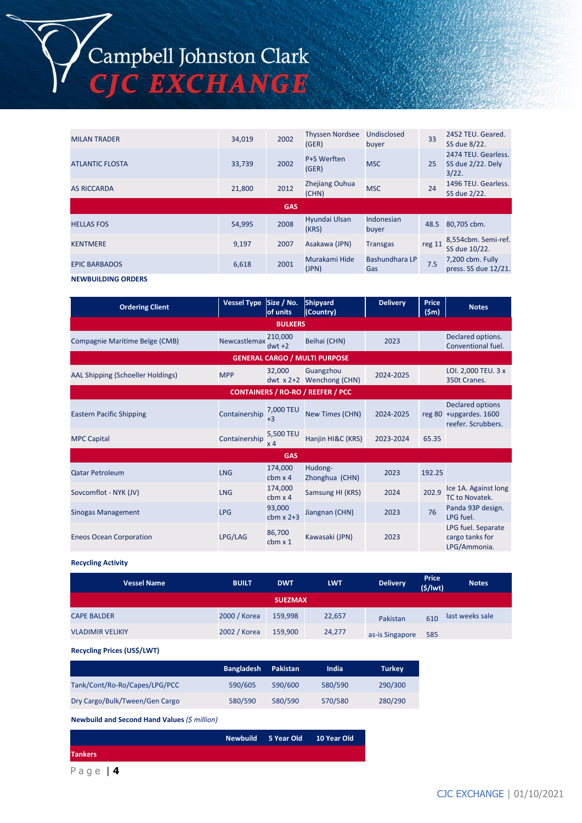# Campbell Johnston Clark<br>CJC EXCHANGE

| <b>MILAN TRADER</b>    | 34,019 | 2002       | <b>Thyssen Nordsee</b><br>(GER) | Undisclosed<br>buyer  | 33     | 2452 TEU. Geared.<br>SS due 8/22.                 |
|------------------------|--------|------------|---------------------------------|-----------------------|--------|---------------------------------------------------|
| <b>ATLANTIC FLOSTA</b> | 33,739 | 2002       | P+S Werften<br>(GER)            | <b>MSC</b>            | 25     | 2474 TEU. Gearless.<br>SS due 2/22. Dely<br>3/22. |
| <b>AS RICCARDA</b>     | 21,800 | 2012       | Zhejiang Ouhua<br>(CHN)         | <b>MSC</b>            | 24     | 1496 TEU. Gearless.<br>SS due 2/22.               |
|                        |        | <b>GAS</b> |                                 |                       |        |                                                   |
| <b>HELLAS FOS</b>      | 54,995 | 2008       | Hyundai Ulsan<br>(KRS)          | Indonesian<br>buyer   | 48.5   | 80,705 cbm.                                       |
| <b>KENTMERE</b>        | 9,197  | 2007       | Asakawa (JPN)                   | <b>Transgas</b>       | reg 11 | 8,554cbm. Semi-ref.<br>SS due 10/22.              |
| <b>EPIC BARBADOS</b>   | 6,618  | 2001       | Murakami Hide<br>(JPN)          | Bashundhara LP<br>Gas | 7.5    | 7,200 cbm. Fully<br>press. SS due 12/21.          |

**NEWBUILDING ORDERS**

| <b>Ordering Client</b>               | <b>Vessel Type</b> | Size / No.<br>of units      | Shipyard<br>(Country)                    | <b>Delivery</b> | Price<br>$(\textsf{5m})$ | <b>Notes</b>                                                            |  |  |  |
|--------------------------------------|--------------------|-----------------------------|------------------------------------------|-----------------|--------------------------|-------------------------------------------------------------------------|--|--|--|
| <b>BULKERS</b>                       |                    |                             |                                          |                 |                          |                                                                         |  |  |  |
| Compagnie Maritime Belge (CMB)       | Newcastlemax       | 210,000<br>$dwt +2$         | Beihai (CHN)                             | 2023            |                          | Declared options.<br>Conventional fuel.                                 |  |  |  |
| <b>GENERAL CARGO / MULTI PURPOSE</b> |                    |                             |                                          |                 |                          |                                                                         |  |  |  |
| AAL Shipping (Schoeller Holdings)    | <b>MPP</b>         | 32,000<br>dwt $x 2+2$       | Guangzhou<br>Wenchong (CHN)              | 2024-2025       |                          | LOI. 2,000 TEU. 3 x<br>350t Cranes.                                     |  |  |  |
|                                      |                    |                             | <b>CONTAINERS / RO-RO / REEFER / PCC</b> |                 |                          |                                                                         |  |  |  |
| <b>Eastern Pacific Shipping</b>      | Containership      | 7,000 TEU<br>$+3$           | New Times (CHN)                          | 2024-2025       |                          | <b>Declared options</b><br>reg 80 +upgardes. 1600<br>reefer. Scrubbers. |  |  |  |
| <b>MPC Capital</b>                   | Containership      | 5,500 TEU<br>x <sub>4</sub> | Hanjin HI&C (KRS)                        | 2023-2024       | 65.35                    |                                                                         |  |  |  |
|                                      |                    | <b>GAS</b>                  |                                          |                 |                          |                                                                         |  |  |  |
| <b>Qatar Petroleum</b>               | <b>LNG</b>         | 174,000<br>$cbm \times 4$   | Hudong-<br>Zhonghua (CHN)                | 2023            | 192.25                   |                                                                         |  |  |  |
| Sovcomflot - NYK (JV)                | <b>LNG</b>         | 174,000<br>$cbm \times 4$   | Samsung HI (KRS)                         | 2024            | 202.9                    | Ice 1A. Against long<br>TC to Novatek.                                  |  |  |  |
| <b>Sinogas Management</b>            | <b>LPG</b>         | 93,000<br>cbm $x$ 2+3       | Jiangnan (CHN)                           | 2023            | 76                       | Panda 93P design.<br>LPG fuel.                                          |  |  |  |
| <b>Eneos Ocean Corporation</b>       | LPG/LAG            | 86,700<br>$cbm \times 1$    | Kawasaki (JPN)                           | 2023            |                          | LPG fuel. Separate<br>cargo tanks for<br>LPG/Ammonia.                   |  |  |  |

**Recycling Activity**

| <b>Vessel Name</b>                 | <b>BUILT</b> | <b>DWT</b>     | <b>LWT</b> | <b>Delivery</b> | <b>Price</b><br>(5/1wt) | <b>Notes</b>    |
|------------------------------------|--------------|----------------|------------|-----------------|-------------------------|-----------------|
|                                    |              | <b>SUEZMAX</b> |            |                 |                         |                 |
| <b>CAPE BALDER</b>                 | 2000 / Korea | 159,998        | 22,657     | Pakistan        | 610                     | last weeks sale |
| <b>VLADIMIR VELIKIY</b>            | 2002 / Korea | 159,900        | 24,277     | as-is Singapore | 585                     |                 |
| <b>Recycling Prices (US\$/LWT)</b> |              |                |            |                 |                         |                 |

|                                | <b>Bangladesh</b> | Pakistan | India   | <b>Turkey</b> |
|--------------------------------|-------------------|----------|---------|---------------|
| Tank/Cont/Ro-Ro/Capes/LPG/PCC  | 590/605           | 590/600  | 580/590 | 290/300       |
| Dry Cargo/Bulk/Tween/Gen Cargo | 580/590           | 580/590  | 570/580 | 280/290       |

**Newbuild and Second Hand Values** *(\$ million)*

|                |  | Newbuild 5 Year Old 10 Year Old |  |
|----------------|--|---------------------------------|--|
| <b>Tankers</b> |  |                                 |  |
|                |  |                                 |  |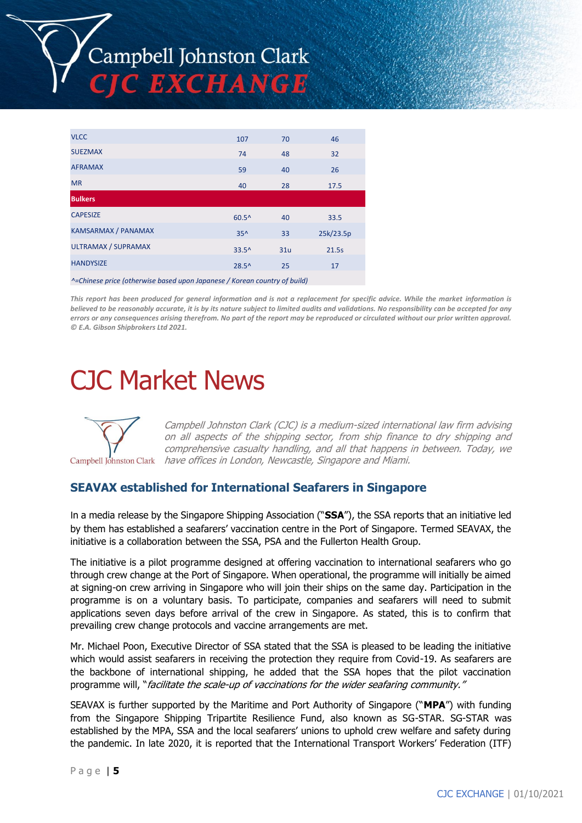

| <b>VLCC</b>                                                               | 107            | 70  | 46        |  |  |  |
|---------------------------------------------------------------------------|----------------|-----|-----------|--|--|--|
| <b>SUEZMAX</b>                                                            | 74             | 48  | 32        |  |  |  |
| <b>AFRAMAX</b>                                                            | 59             | 40  | 26        |  |  |  |
| <b>MR</b>                                                                 | 40             | 28  | 17.5      |  |  |  |
| <b>Bulkers</b>                                                            |                |     |           |  |  |  |
| <b>CAPESIZE</b>                                                           | $60.5^{\circ}$ | 40  | 33.5      |  |  |  |
| <b>KAMSARMAX / PANAMAX</b>                                                | $35^$          | 33  | 25k/23.5p |  |  |  |
| <b>ULTRAMAX / SUPRAMAX</b>                                                | $33.5^$        | 31u | 21.5s     |  |  |  |
| <b>HANDYSIZE</b>                                                          | $28.5^{\circ}$ | 25  | 17        |  |  |  |
| ^=Chinese price (otherwise based upon Japanese / Korean country of build) |                |     |           |  |  |  |

*This report has been produced for general information and is not a replacement for specific advice. While the market information is believed to be reasonably accurate, it is by its nature subject to limited audits and validations. No responsibility can be accepted for any errors or any consequences arising therefrom. No part of the report may be reproduced or circulated without our prior written approval. © E.A. Gibson Shipbrokers Ltd 2021.*

# CJC Market News



Campbell Johnston Clark (CJC) is a medium-sized international law firm advising on all aspects of the shipping sector, from ship finance to dry shipping and comprehensive casualty handling, and all that happens in between. Today, we Campbell Johnston Clark *have offices in London, Newcastle, Singapore and Miami.* 

# **SEAVAX established for International Seafarers in Singapore**

In a media release by the Singapore Shipping Association ("**SSA**"), the SSA reports that an initiative led by them has established a seafarers' vaccination centre in the Port of Singapore. Termed SEAVAX, the initiative is a collaboration between the SSA, PSA and the Fullerton Health Group.

The initiative is a pilot programme designed at offering vaccination to international seafarers who go through crew change at the Port of Singapore. When operational, the programme will initially be aimed at signing-on crew arriving in Singapore who will join their ships on the same day. Participation in the programme is on a voluntary basis. To participate, companies and seafarers will need to submit applications seven days before arrival of the crew in Singapore. As stated, this is to confirm that prevailing crew change protocols and vaccine arrangements are met.

Mr. Michael Poon, Executive Director of SSA stated that the SSA is pleased to be leading the initiative which would assist seafarers in receiving the protection they require from Covid-19. As seafarers are the backbone of international shipping, he added that the SSA hopes that the pilot vaccination programme will, "facilitate the scale-up of vaccinations for the wider seafaring community."

SEAVAX is further supported by the Maritime and Port Authority of Singapore ("**MPA**") with funding from the Singapore Shipping Tripartite Resilience Fund, also known as SG-STAR. SG-STAR was established by the MPA, SSA and the local seafarers' unions to uphold crew welfare and safety during the pandemic. In late 2020, it is reported that the International Transport Workers' Federation (ITF)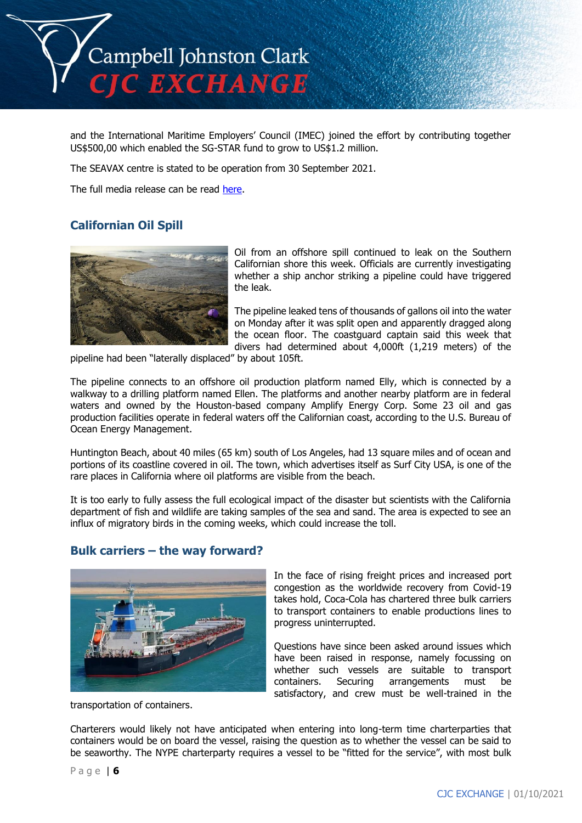

and the International Maritime Employers' Council (IMEC) joined the effort by contributing together US\$500,00 which enabled the SG-STAR fund to grow to US\$1.2 million.

The SEAVAX centre is stated to be operation from 30 September 2021.

The full media release can be read [here.](https://www.ssa.org.sg/wp-content/uploads/2021/10/SEAVAX-Media-Release_1-Oct-2021.pdf)

# **Californian Oil Spill**



Oil from an offshore spill continued to leak on the Southern Californian shore this week. Officials are currently investigating whether a ship anchor striking a pipeline could have triggered the leak.

The pipeline leaked tens of thousands of gallons oil into the water on Monday after it was split open and apparently dragged along the ocean floor. The coastguard captain said this week that divers had determined about 4,000ft (1,219 meters) of the

pipeline had been "laterally displaced" by about 105ft.

The pipeline connects to an offshore oil production platform named Elly, which is connected by a walkway to a drilling platform named Ellen. The platforms and another nearby platform are in federal waters and owned by the Houston-based company Amplify Energy Corp. Some 23 oil and gas production facilities operate in federal waters off the Californian coast, according to the U.S. Bureau of Ocean Energy Management.

Huntington Beach, about 40 miles (65 km) south of Los Angeles, had 13 square miles and of ocean and portions of its coastline covered in oil. The town, which advertises itself as Surf City USA, is one of the rare places in California where oil platforms are visible from the beach.

It is too early to fully assess the full ecological impact of the disaster but scientists with the California department of fish and wildlife are taking samples of the sea and sand. The area is expected to see an influx of migratory birds in the coming weeks, which could increase the toll.

# **Bulk carriers – the way forward?**



transportation of containers.

In the face of rising freight prices and increased port congestion as the worldwide recovery from Covid-19 takes hold, Coca-Cola has chartered three bulk carriers to transport containers to enable productions lines to progress uninterrupted.

Questions have since been asked around issues which have been raised in response, namely focussing on whether such vessels are suitable to transport containers. Securing arrangements must be satisfactory, and crew must be well-trained in the

Charterers would likely not have anticipated when entering into long-term time charterparties that containers would be on board the vessel, raising the question as to whether the vessel can be said to be seaworthy. The NYPE charterparty requires a vessel to be "fitted for the service", with most bulk